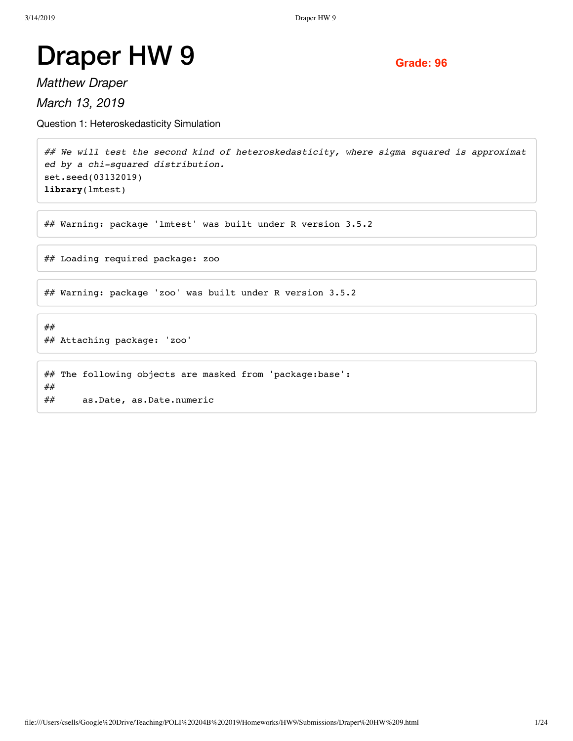*Matthew Draper*

*March 13, 2019*

Question 1: Heteroskedasticity Simulation

```
## We will test the second kind of heteroskedasticity, where sigma squared is approximat
ed by a chi-squared distribution.
set.seed(03132019)
library(lmtest)
```
## Warning: package 'lmtest' was built under R version 3.5.2

## Loading required package: zoo

## Warning: package 'zoo' was built under R version 3.5.2

## ## Attaching package: 'zoo'

## The following objects are masked from 'package:base': ## ## as.Date, as.Date.numeric

**Grade: 96**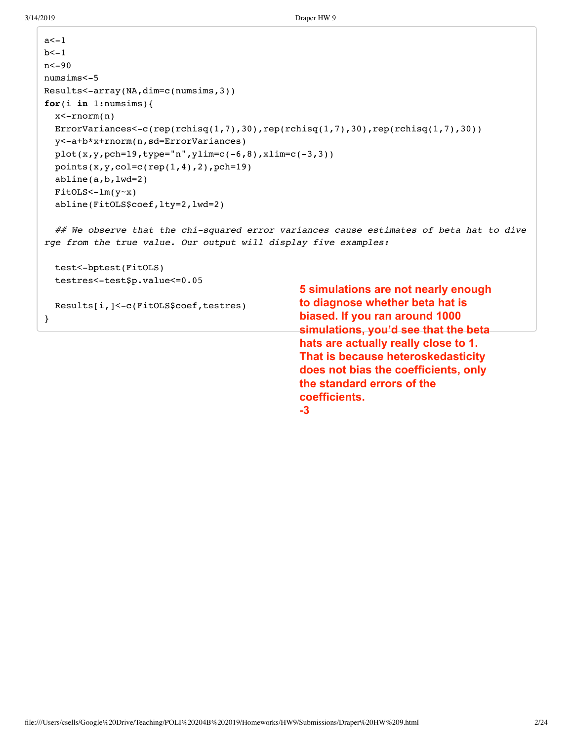```
a < -1b<-1n < -90numsims<-5
Results<-array(NA,dim=c(numsims,3))
for(i in 1:numsims) {
   x<-rnorm(n)
  ErrorVariances<-c(rep(rchisq(1,7),30),rep(rchisq(1,7),30),rep(rchisq(1,7),30))
  y<-a+b*x+rnorm(n,sd=ErrorVariances)
   plot(x,y,pch=19,type="n",ylim=c(-6,8),xlim=c(-3,3))
  points(x, y, col=c(rep(1,4),2), pch=19)
   abline(a,b,lwd=2)
  FitOLS < -lm(y-x) abline(FitOLS$coef,lty=2,lwd=2)
   ## We observe that the chi-squared error variances cause estimates of beta hat to dive
rge from the true value. Our output will display five examples:
```

```
 test<-bptest(FitOLS)
   testres<-test$p.value<=0.05
   Results[i,]<-c(FitOLS$coef,testres)
}
                                                  5 simulations are not nearly enough 
                                                  to diagnose whether beta hat is 
                                                  biased. If you ran around 1000 
                                                  simulations, you'd see that the beta 
                                                  hats are actually really close to 1.
                                                  That is because heteroskedasticity 
                                                  does not bias the coefficients, only 
                                                  the standard errors of the 
                                                  coefficients.
```
**-3**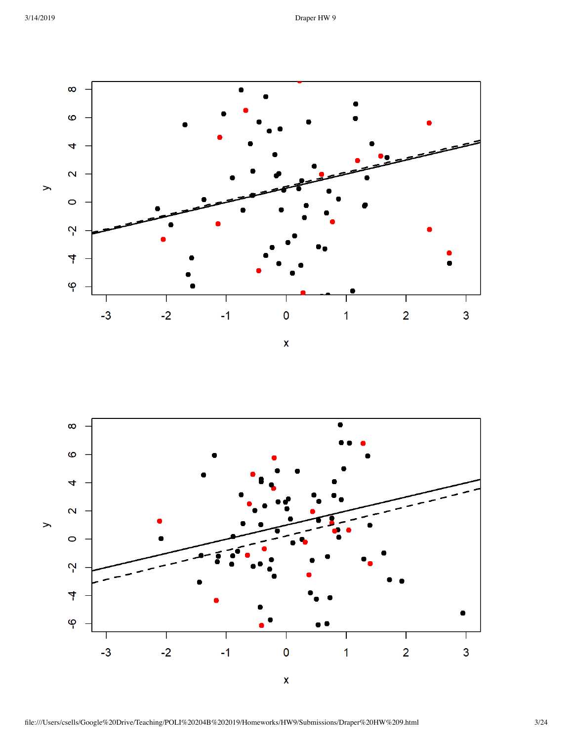

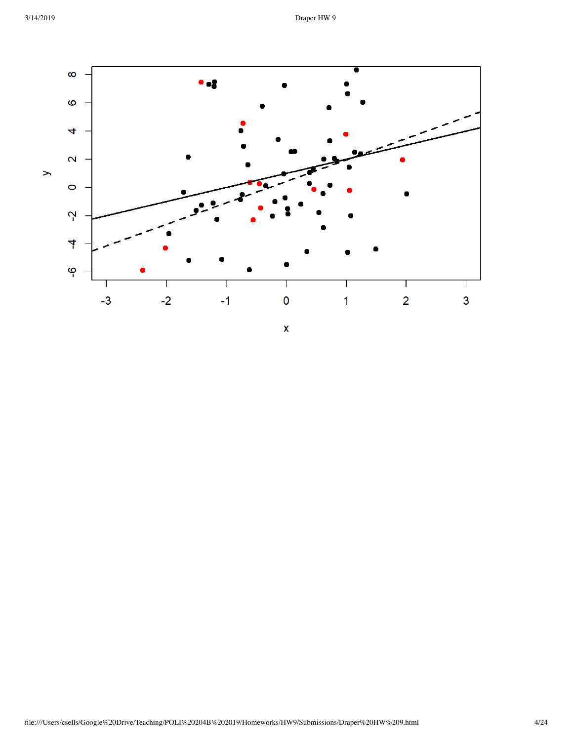

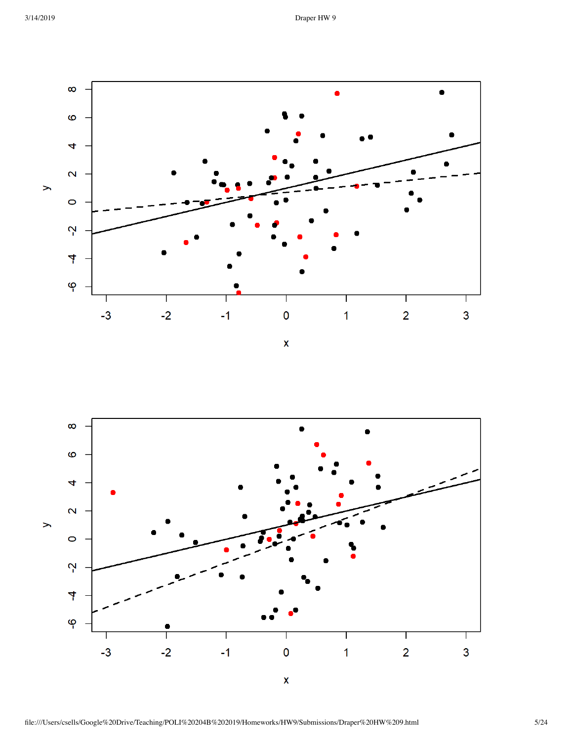

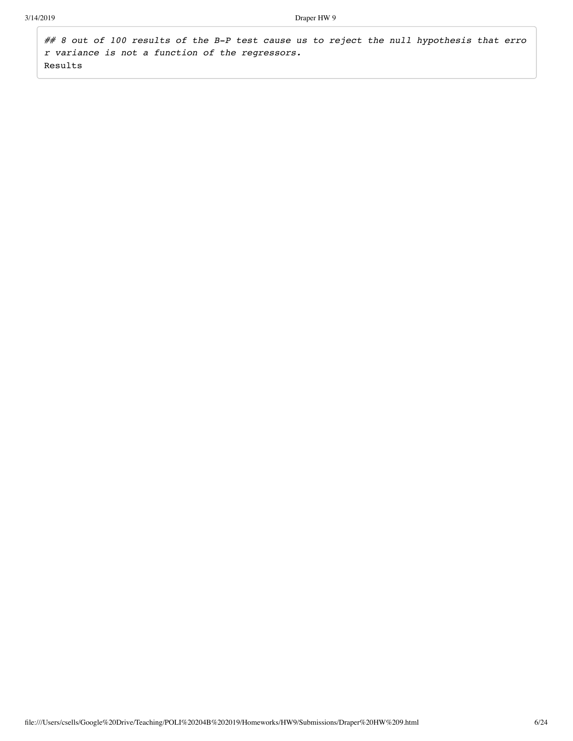```
## 8 out of 100 results of the B-P test cause us to reject the null hypothesis that erro
r variance is not a function of the regressors.
Results
```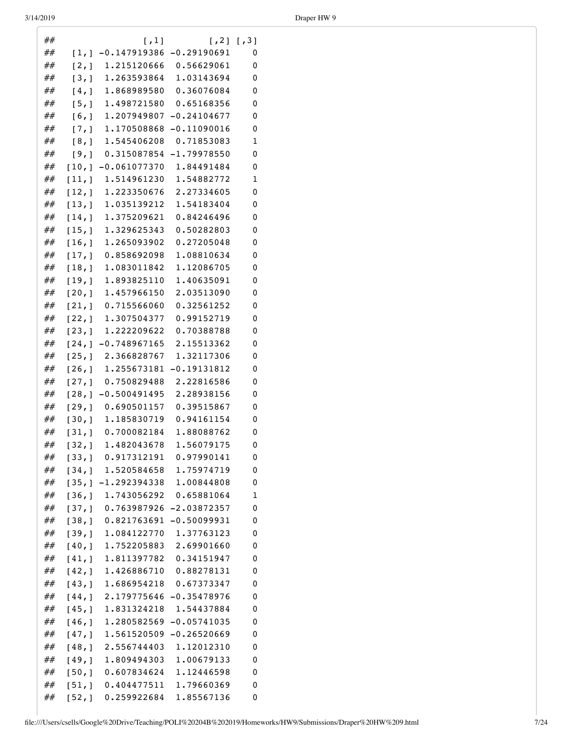| ## |                    | [71]                        |               | $\left[,2\right]$ $\left[,3\right]$ |
|----|--------------------|-----------------------------|---------------|-------------------------------------|
| ## | $\lceil 1, \rceil$ | $-0.147919386 - 0.29190691$ |               | 0                                   |
| ## | [2,]               | 1.215120666                 | 0.56629061    | 0                                   |
| ## | [3,]               | 1.263593864                 | 1.03143694    | 0                                   |
| ## | [4,]               | 1.868989580                 | 0.36076084    | 0                                   |
| ## | [5,]               | 1.498721580                 | 0.65168356    | 0                                   |
| ## | [6,]               | 1.207949807                 | -0.24104677   | 0                                   |
| ## | [7,]               | 1.170508868                 | $-0.11090016$ | 0                                   |
| ## | [8,]               | 1.545406208                 | 0.71853083    | 1                                   |
| ## | [9,]               | 0.315087854                 | $-1.79978550$ | 0                                   |
| ## | [10,]              | $-0.061077370$              | 1.84491484    | 0                                   |
| ## | [11,]              | 1.514961230                 | 1.54882772    | 1                                   |
| ## | [12,]              | 1.223350676                 | 2.27334605    | 0                                   |
| ## | [13,]              | 1.035139212                 | 1.54183404    | 0                                   |
| ## | [14,]              | 1.375209621                 | 0.84246496    | 0                                   |
| ## | [15,]              | 1.329625343                 | 0.50282803    | 0                                   |
| ## | [16,1]             | 1.265093902                 | 0.27205048    | 0                                   |
| ## | [17,1]             | 0.858692098                 | 1.08810634    | 0                                   |
| ## | [18,]              | 1.083011842                 | 1.12086705    | 0                                   |
| ## | [19,1]             | 1.893825110                 | 1.40635091    | 0                                   |
| ## | [20, 1]            | 1.457966150                 | 2.03513090    | 0                                   |
| ## | [21, 1]            | 0.715566060                 | 0.32561252    | 0                                   |
| ## | [22,]              | 1.307504377                 | 0.99152719    | 0                                   |
| ## | [23, 1]            | 1.222209622                 | 0.70388788    | 0                                   |
| ## | [24,1]             | $-0.748967165$              | 2.15513362    | 0                                   |
| ## | [25,]              | 2.366828767                 | 1.32117306    | 0                                   |
| ## | [26, ]             | 1.255673181                 | $-0.19131812$ | 0                                   |
| ## | [27,]              | 0.750829488                 | 2.22816586    | 0                                   |
| ## | [28,1]             | $-0.500491495$              | 2.28938156    | 0                                   |
| ## | [29,]              | 0.690501157                 | 0.39515867    | 0                                   |
| ## | [30,]              | 1.185830719                 | 0.94161154    | 0                                   |
| ## | [31,]              | 0.700082184                 | 1.88088762    | 0                                   |
| ## | [32,1]             | 1.482043678                 | 1.56079175    | 0                                   |
| ## | [33, ]             | 0.917312191                 | 0.97990141    | 0                                   |
| ## | [34,]              | 1.520584658                 | 1.75974719    | 0                                   |
| ## | [35,]              | $-1.292394338$              | 1,00844808    | 0                                   |
| ## | [36, ]             | 1.743056292                 | 0.65881064    | 1                                   |
| ## | [37,]              | 0.763987926                 | $-2.03872357$ | 0                                   |
| ## | [38, ]             | 0.821763691                 | $-0.50099931$ | 0                                   |
| ## | [39,]              | 1.084122770                 | 1.37763123    | 0                                   |
| ## | [40,1]             | 1.752205883                 | 2.69901660    | 0                                   |
| ## | [41,]              | 1.811397782                 | 0.34151947    | 0                                   |
| ## | [42,]              | 1.426886710                 | 0.88278131    | 0                                   |
| ## | [43,]              | 1.686954218                 | 0.67373347    | 0                                   |
| ## | [44,]              | 2.179775646                 | $-0.35478976$ | 0                                   |
| ## | [45,]              | 1.831324218                 | 1.54437884    | 0                                   |
| ## | [46,]              | 1.280582569                 | -0.05741035   | 0                                   |
| ## | [47,]              | 1.561520509                 | $-0.26520669$ | 0                                   |
| ## | [48,]              | 2.556744403                 | 1.12012310    | 0                                   |
| ## | [49,]              | 1.809494303                 | 1.00679133    | 0                                   |
| ## | [50,]              | 0.607834624                 | 1.12446598    | 0                                   |
| ## | [51,]              | 0.404477511                 | 1.79660369    | 0                                   |
| ## | [52,]              | 0.259922684                 | 1.85567136    | 0                                   |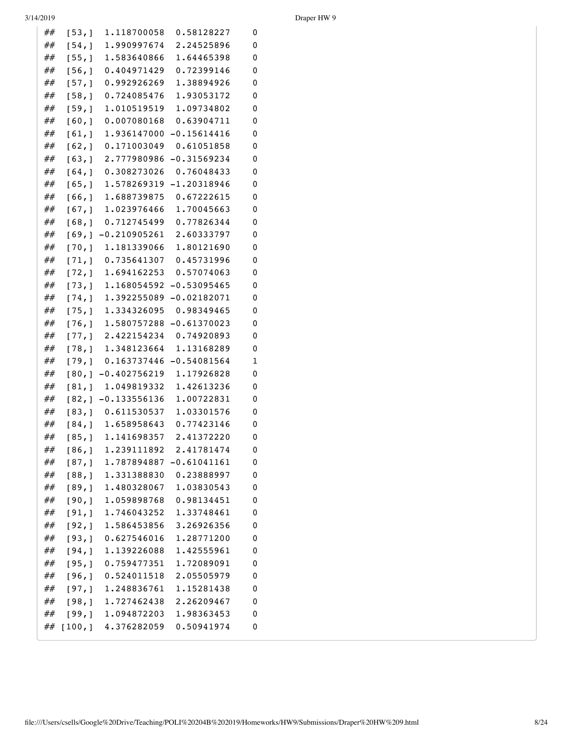| ## | [53,1]   | 1.118700058    | 0.58128227             | 0 |
|----|----------|----------------|------------------------|---|
| ## | [54,]    | 1.990997674    | 2.24525896             | 0 |
| ## | [55,1]   | 1.583640866    | 1.64465398             | 0 |
| ## | [56,]    | 0.404971429    | 0.72399146             | 0 |
| ## | [57,]    | 0.992926269    | 1.38894926             | 0 |
| ## | [58,]    | 0.724085476    | 1.93053172             | 0 |
| ## | [59,]    | 1.010519519    | 1.09734802             | 0 |
| ## | [60, 1]  | 0.007080168    | 0.63904711             | 0 |
| ## | [61,]    | 1.936147000    | $-0.15614416$          | 0 |
| ## | [62, ]   | 0.171003049    | 0.61051858             | 0 |
| ## | [63, ]   | 2.777980986    | $-0.31569234$          | 0 |
| ## | [64,]    | 0.308273026    | 0.76048433             | 0 |
| ## | [65,]    | 1.578269319    | $-1.20318946$          | 0 |
| ## | [66, 1]  | 1.688739875    | 0.67222615             | 0 |
| ## | [67,1]   | 1.023976466    | 1.70045663             | 0 |
| ## | [68, ]   | 0.712745499    | 0.77826344             | 0 |
| ## | [69,]    | $-0.210905261$ | 2.60333797             | 0 |
| ## | [70,]    | 1.181339066    | 1.80121690             | 0 |
| ## | [71,]    | 0.735641307    | 0.45731996             | 0 |
| ## | [72,]    | 1.694162253    | 0.57074063             | 0 |
| ## | [73,]    | 1.168054592    | $-0.53095465$          | 0 |
| ## | [74,1]   | 1.392255089    | $-0.02182071$          | 0 |
| ## | [75,1]   | 1.334326095    | 0.98349465             | 0 |
| ## | [76,1]   | 1.580757288    | $-0.61370023$          | 0 |
| ## | [77,]    | 2.422154234    | 0.74920893             | 0 |
| ## | [78,1]   | 1.348123664    | 1.13168289             | 0 |
| ## | [79,]    | 0.163737446    | $-0.54081564$          | 1 |
| ## | [80,1    | $-0.402756219$ | 1.17926828             | 0 |
| ## | [81, 1]  | 1.049819332    | 1.42613236             | 0 |
| ## | [82,1]   | $-0.133556136$ | 1.00722831             | 0 |
| ## | [83,1]   | 0.611530537    | 1.03301576             | 0 |
| ## | [84,1]   | 1.658958643    | 0.77423146             | 0 |
| ## | [85,]    | 1.141698357    | 2.41372220             | 0 |
| ## | [86, ]   | 1.239111892    | 2.41781474             | 0 |
| ## | [87,]    | 1.787894887    | $-0.61041161$          | 0 |
| ## | [88,]    | 1.331388830    | 0.23888997             | 0 |
| ## | [89,]    |                | 1.480328067 1.03830543 | 0 |
| ## | [90,1]   | 1.059898768    | 0.98134451             | 0 |
| ## | [91,]    | 1.746043252    | 1.33748461             | 0 |
| ## | [92,]    | 1.586453856    | 3.26926356             | 0 |
| ## | [93,1]   | 0.627546016    | 1.28771200             | 0 |
| ## | [94,]    | 1.139226088    | 1.42555961             | 0 |
| ## | [95,]    | 0.759477351    | 1.72089091             | 0 |
| ## | [96, ]   | 0.524011518    | 2.05505979             | 0 |
|    | ## [97,] | 1.248836761    | 1.15281438             | 0 |
|    | ## [98,] |                | 1.727462438 2.26209467 | 0 |
| ## | [99,]    | 1.094872203    | 1.98363453             | 0 |
| ## | [100, ]  | 4.376282059    | 0.50941974             | 0 |
|    |          |                |                        |   |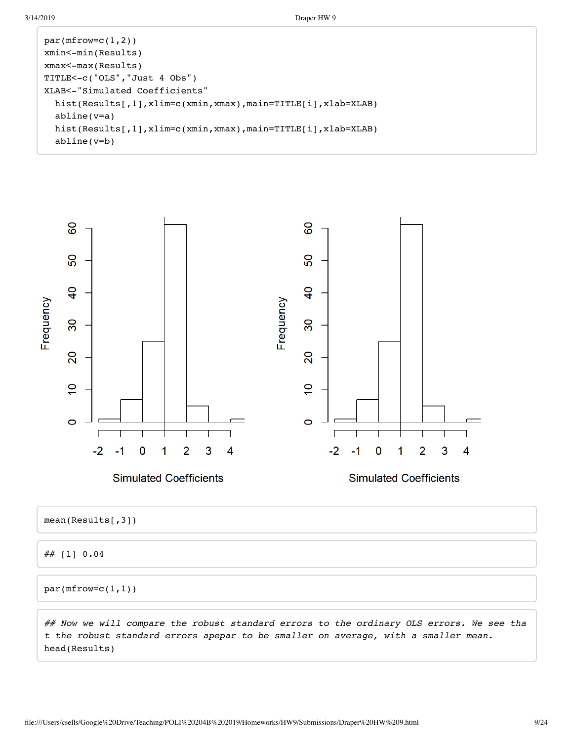```
par( mfrow=c(1,2))
xmin<-min(Results)
xmax<-max(Results)
TITLE<-c("OLS","Just 4 Obs")
XLAB<-"Simulated Coefficients"
 hist(Results[,1],xlim=c(xmin,xmax),main=TITLE[i],xlab=XLAB)
  abline(v=a)
 hist(Results[,1],xlim=c(xmin,xmax),main=TITLE[i],xlab=XLAB)
  abline(v=b)
```


### ## [1] 0.04

 $par(mfrow=c(1,1))$ 

*## Now we will compare the robust standard errors to the ordinary OLS errors. We see tha t the robust standard errors apepar to be smaller on average, with a smaller mean.* head(Results)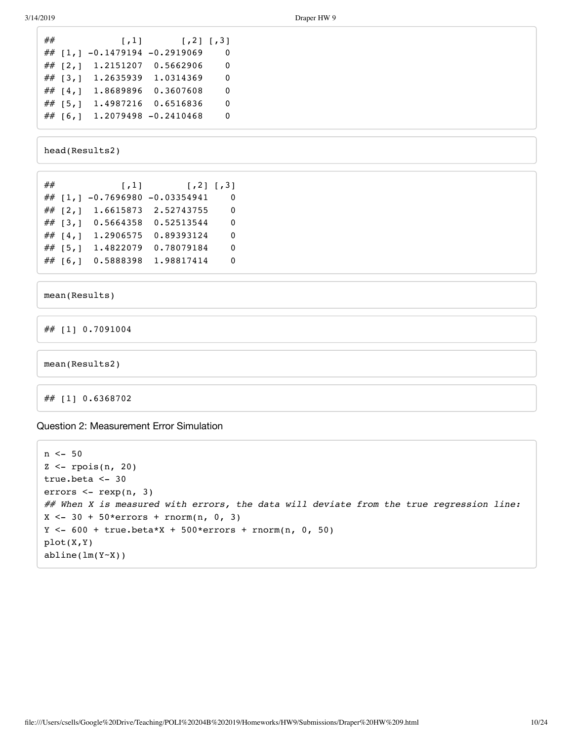| ## |             | 1,11                             | $1, 2$ ] $1, 3$ ]    |   |
|----|-------------|----------------------------------|----------------------|---|
|    |             | $\#$ [1, ] -0.1479194 -0.2919069 |                      |   |
|    | ## $[2,]$   |                                  | 1.2151207 0.5662906  | 0 |
|    | ## $[3, 1]$ | 1.2635939                        | 1.0314369            | 0 |
|    | ## $[4, 1]$ | 1.8689896                        | 0.3607608            | 0 |
|    | ## $[5, 1]$ | 1.4987216                        | 0.6516836            | 0 |
|    | ## $[6, 1]$ |                                  | 1.2079498 -0.2410468 | 0 |

head(Results2)

```
\# [,1] [,2] [,3]
\# [1,] -0.7696980 -0.03354941 0
## [2,] 1.6615873 2.52743755 0
## [3,] 0.5664358 0.52513544 0
## [4,] 1.2906575 0.89393124 0
## [5,] 1.4822079 0.78079184 0
## [6,] 0.5888398 1.98817414 0
```
mean(Results)

## [1] 0.7091004

mean(Results2)

## [1] 0.6368702

Question 2: Measurement Error Simulation

```
n \le -50Z \leftarrow \text{rpois}(n, 20)true.beta <- 30 
errors \leq rexp(n, 3)
## When X is measured with errors, the data will deviate from the true regression line:
X \le -30 + 50*errors + rnorm(n, 0, 3)
Y \le -600 + true. beta*X + 500* errors + rnorm(n, 0, 50)
plot(X,Y)
abline(lm(Y~X))
```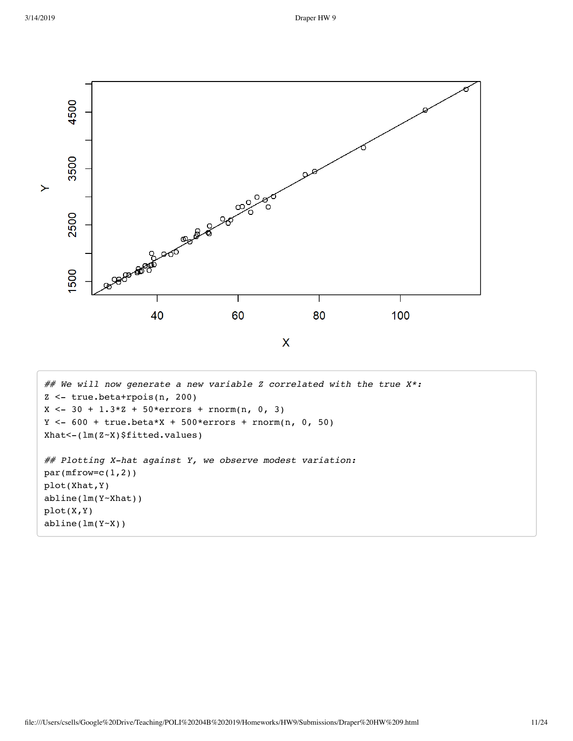

```
## We will now generate a new variable Z correlated with the true X*:
Z <- true.beta+rpois(n, 200)
X \le -30 + 1.3 \times Z + 50 \times \text{errors} + \text{norm}(n, 0, 3)Y \le -600 + true.\text{beta*}X + 500*\text{errors} + \text{norm}(n, 0, 50)Xhat<-(lm(Z~X)$fitted.values)
## Plotting X-hat against Y, we observe modest variation:
par( mfrow=c(1,2))
plot(Xhat,Y)
abline(lm(Y~Xhat))
plot(X,Y)
abline(lm(Y~X))
```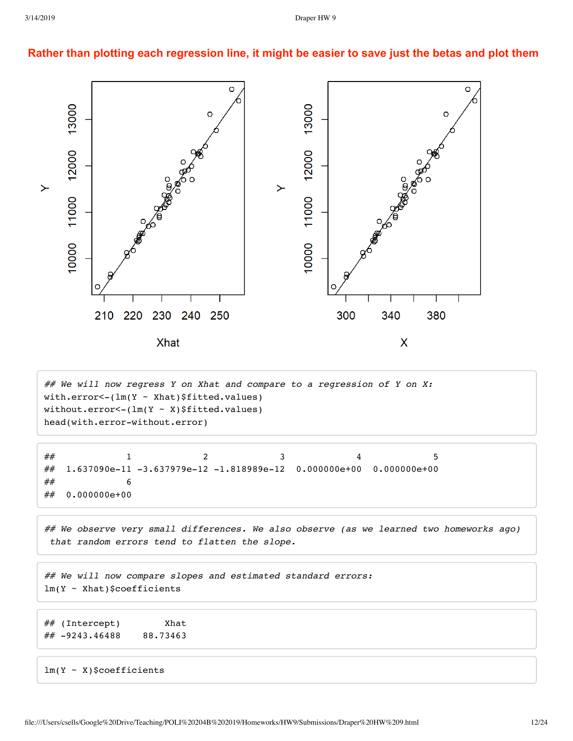### **Rather than plotting each regression line, it might be easier to save just the betas and plot them**



*## We will now regress Y on Xhat and compare to a regression of Y on X:*  with.error <-  $(\text{lm}(Y \sim \text{Xhat}) \$ fitted.values) without.error<-(lm(Y ~ X)\$fitted.values) head(with.error-without.error)

 $\#$  **1** 2 3 4 5  $\#$   $1.637090e-11$   $-3.637979e-12$   $-1.818989e-12$  0.000000e+00 0.000000e+00 ## 6 ## 0.000000e+00

*## We observe very small differences. We also observe (as we learned two homeworks ago) that random errors tend to flatten the slope.*

*## We will now compare slopes and estimated standard errors:*  $lm(Y \sim Xhat)$ \$coefficients

## (Intercept) Xhat ## -9243.46488 88.73463

 $lm(Y \sim X)$ \$coefficients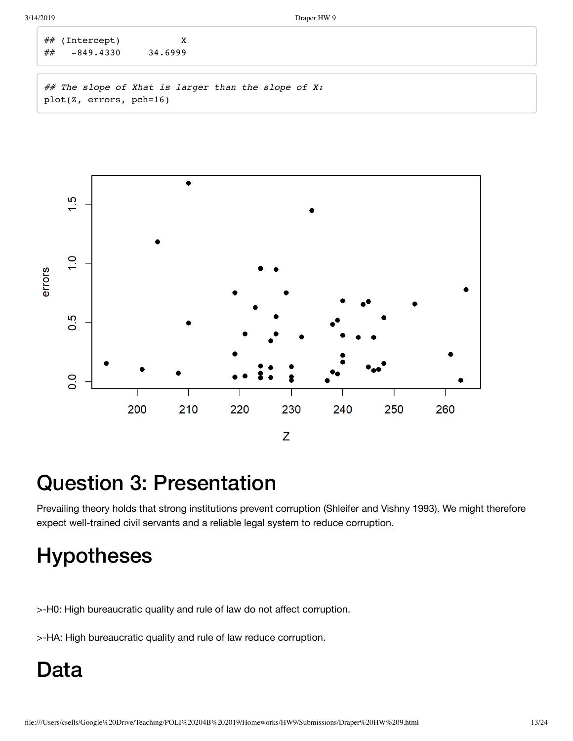## (Intercept) X ## -849.4330 34.6999

*## The slope of Xhat is larger than the slope of X:* plot(Z, errors, pch=16)



# Question 3: Presentation

Prevailing theory holds that strong institutions prevent corruption (Shleifer and Vishny 1993). We might therefore expect well-trained civil servants and a reliable legal system to reduce corruption.

# Hypotheses

>-H0: High bureaucratic quality and rule of law do not affect corruption.

>-HA: High bureaucratic quality and rule of law reduce corruption.

# Data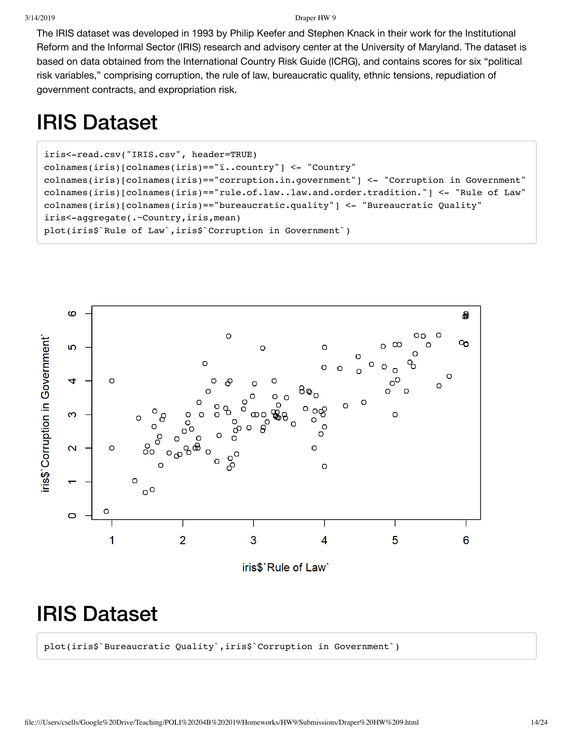The IRIS dataset was developed in 1993 by Philip Keefer and Stephen Knack in their work for the Institutional Reform and the Informal Sector (IRIS) research and advisory center at the University of Maryland. The dataset is based on data obtained from the International Country Risk Guide (ICRG), and contains scores for six "political risk variables," comprising corruption, the rule of law, bureaucratic quality, ethnic tensions, repudiation of government contracts, and expropriation risk.

# IRIS Dataset

```
iris<-read.csv("IRIS.csv", header=TRUE)
colnames(iris)[colnames(iris)=="ï..country"] <- "Country"
colnames(iris)[colnames(iris)=="corruption.in.government"] <- "Corruption in Government"
colnames(iris)[colnames(iris)=="rule.of.law..law.and.order.tradition."] <- "Rule of Law"
colnames(iris)[colnames(iris)=="bureaucratic.quality"] <- "Bureaucratic Quality"
iris<-aggregate(.~Country,iris,mean)
plot(iris$`Rule of Law`,iris$`Corruption in Government`)
```


iris\$`Rule of Law`

# IRIS Dataset

plot(iris\$`Bureaucratic Quality`,iris\$`Corruption in Government`)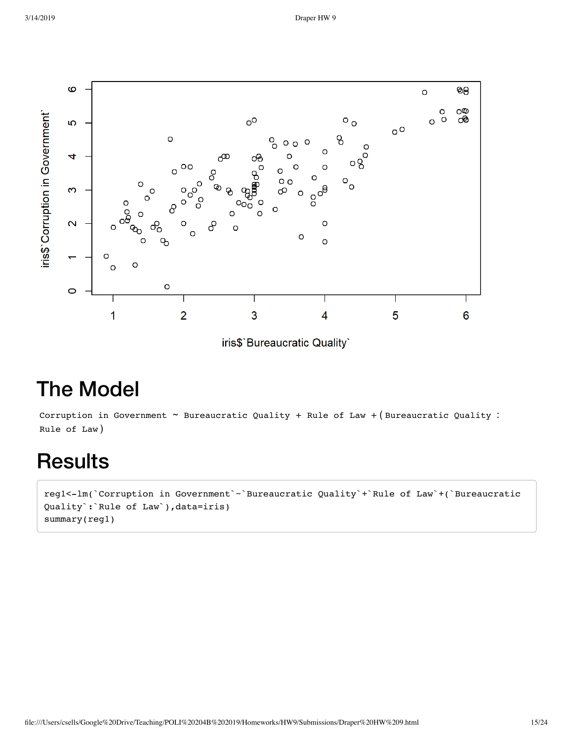

iris\$'Bureaucratic Quality'

# The Model

Corruption in Government  $\sim$  Bureaucratic Quality + Rule of Law + (Bureaucratic Quality : Rule of Law )

# **Results**

```
reg1<-lm(`Corruption in Government`~`Bureaucratic Quality`+`Rule of Law`+(`Bureaucratic
Quality`:`Rule of Law`),data=iris)
summary(reg1)
```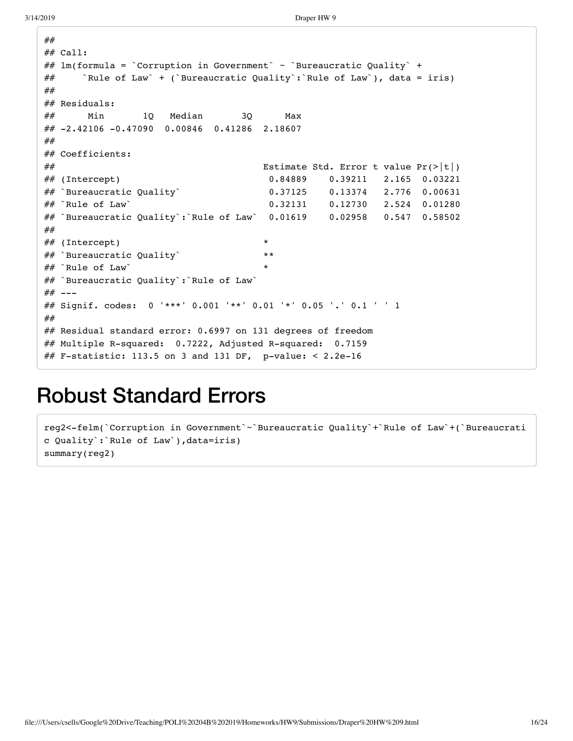```
## 
## Call:
## lm(formula = 'Corruption in Government' ~ 'Bureaucratio Quality' +\# `Rule of Law` + (`Bureaucratic Quality`:`Rule of Law`), data = iris)
## 
## Residuals:
## Min 1Q Median 3Q Max 
## -2.42106 -0.47090 0.00846 0.41286 2.18607 
## 
## Coefficients:
## Estimate Std. Error t value Pr(>|t|)
## (Intercept) 0.84889 0.39211 2.165 0.03221
## `Bureaucratic Quality` 0.37125 0.13374 2.776 0.00631
## `Rule of Law` 0.32131 0.12730 2.524 0.01280
\# * Bureaucratic Quality : Rule of Law 0.01619 0.02958 0.547 0.58502
## 
## (Intercept)
## `Bureaucratic Quality` **
## `Rule of Law` * 
## `Bureaucratic Quality`:`Rule of Law` 
## ---
## Signif. codes: 0 '***' 0.001 '**' 0.01 '*' 0.05 '.' 0.1 ' ' 1
## 
## Residual standard error: 0.6997 on 131 degrees of freedom
## Multiple R-squared: 0.7222, Adjusted R-squared: 0.7159 
# F-statistic: 113.5 on 3 and 131 DF, p-value: < 2.2e-16
```
## Robust Standard Errors

```
reg2<-felm(`Corruption in Government`~`Bureaucratic Quality`+`Rule of Law`+(`Bureaucrati
c Quality`:`Rule of Law`),data=iris)
summary(reg2)
```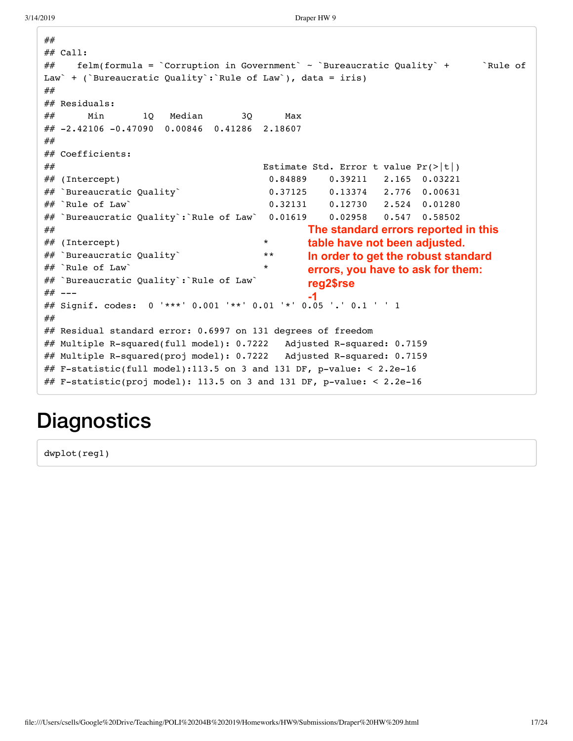```
## 
## Call:
## felm(formula = `Corruption in Government` ~ `Bureaucratic Quality` + ` `Rule of
Law` + (`Bureaucratic Quality`: `Rule of Law`), data = iris)
## 
## Residuals:
## Min 1Q Median 3Q Max 
## -2.42106 -0.47090 0.00846 0.41286 2.18607 
## 
## Coefficients:
## Estimate Std. Error t value Pr(>|t|)
## (Intercept) 0.84889 0.39211 2.165 0.03221
## `Bureaucratic Quality` 0.37125 0.13374 2.776 0.00631
## `Rule of Law` 0.32131 0.12730 2.524 0.01280
\# Sureaucratic Quality`: Rule of Law` 0.01619 0.02958 0.547 0.58502
## 
## (Intercept) * 
## `Bureaucratic Quality` **
## `Rule of Law` * 
## `Bureaucratic Quality`:`Rule of Law` 
## ---
## Signif. codes: 0 '***' 0.001 '**' 0.01 '*' 0.05 '.' 0.1 ' ' 1
## 
## Residual standard error: 0.6997 on 131 degrees of freedom
## Multiple R-squared(full model): 0.7222 Adjusted R-squared: 0.7159 
## Multiple R-squared(proj model): 0.7222 Adjusted R-squared: 0.7159 
## F-statistic(full model):113.5 on 3 and 131 DF, p-value: < 2.2e-16## F-statistic(proj model): 113.5 on 3 and 131 DF, p-value: < 2.2e-16The standard errors reported in this 
                                          table have not been adjusted. 
                                          In order to get the robust standard 
                                          errors, you have to ask for them:
                                          reg2$rse
                                          -1
```
dwplot(reg1)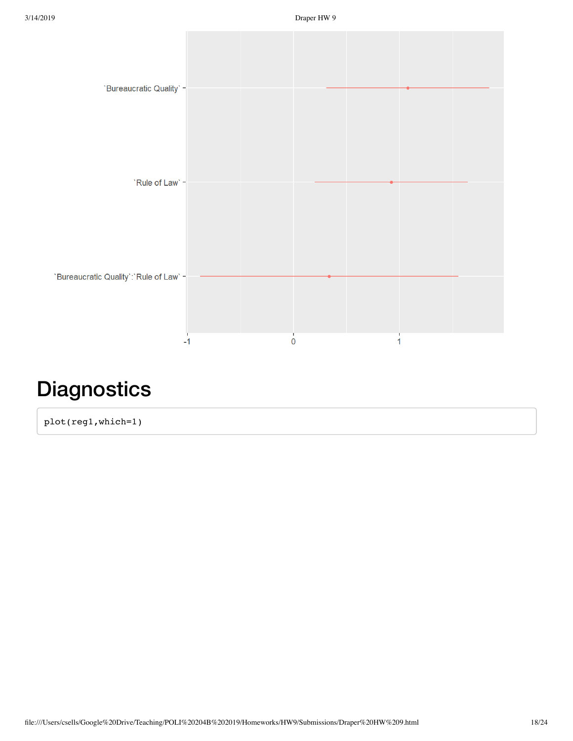

plot(reg1,which=1)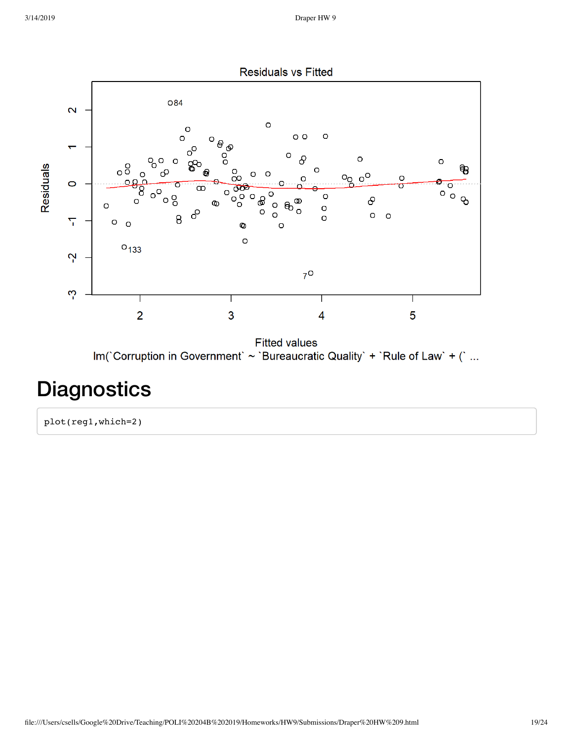

**Fitted values** Im(`Corruption in Government` ~ `Bureaucratic Quality` + `Rule of Law` + (` ...

plot(reg1,which=2)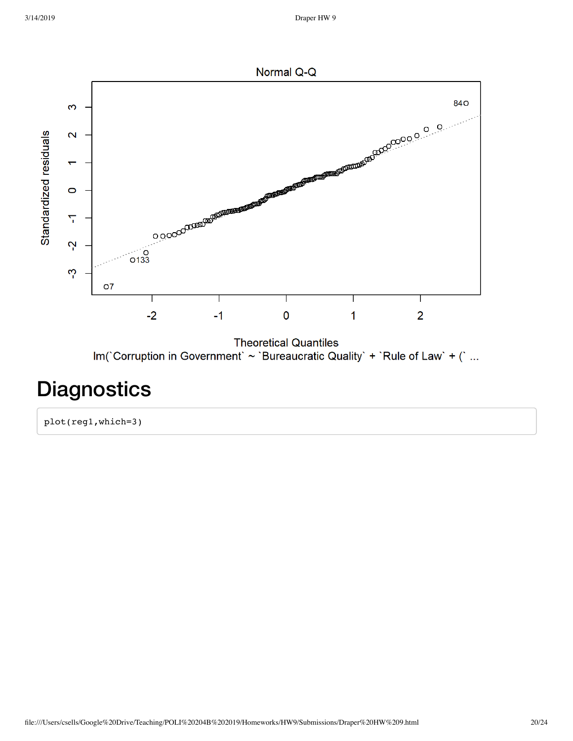

**Theoretical Quantiles** Im(`Corruption in Government` ~ `Bureaucratic Quality` + `Rule of Law` + (` ...

plot(reg1,which=3)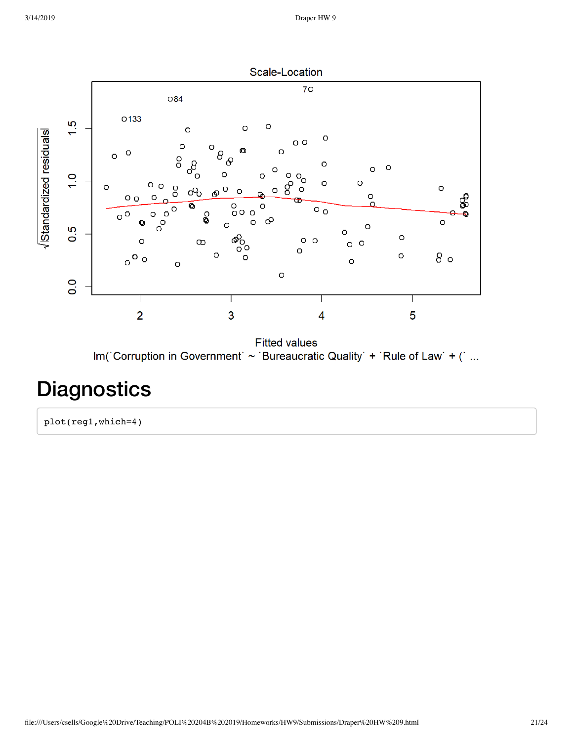

**Fitted values** Im(`Corruption in Government` ~ `Bureaucratic Quality` + `Rule of Law` + (` ...

plot(reg1,which=4)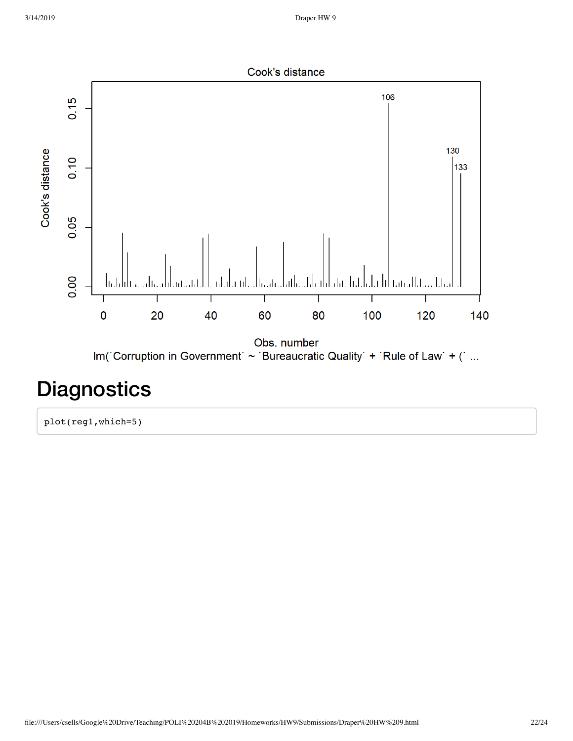$0.15$ 





# **Diagnostics**

plot(reg1,which=5)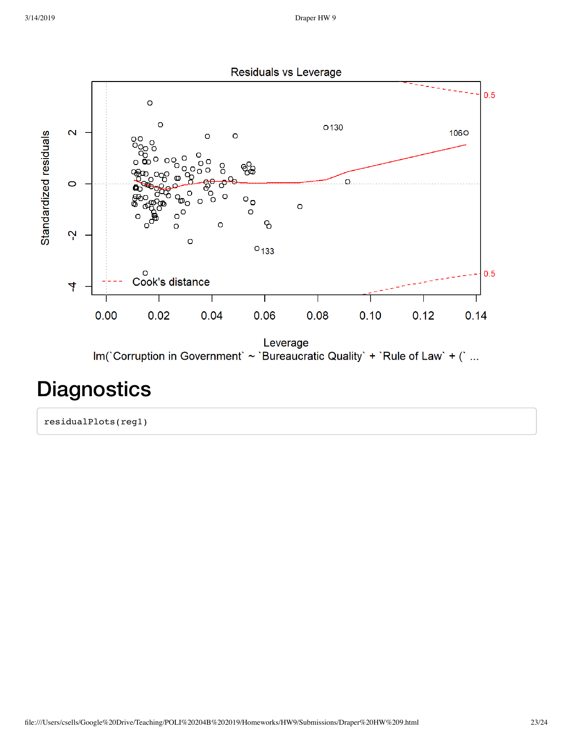

residualPlots(reg1)